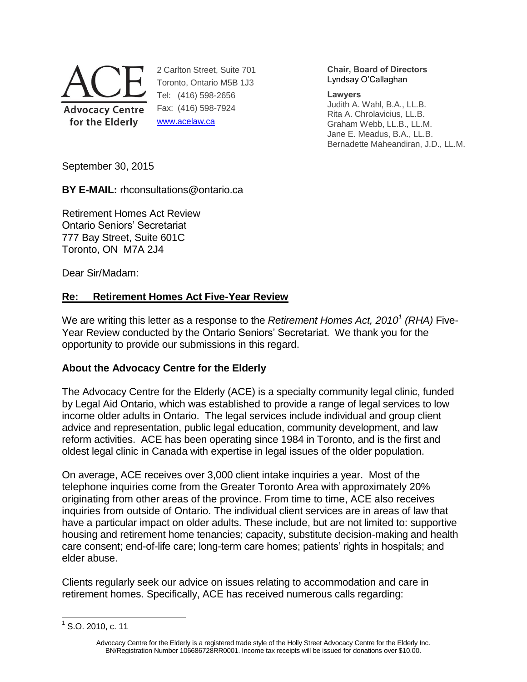

2 Carlton Street, Suite 701 Toronto, Ontario M5B 1J3 Tel: (416) 598-2656 Fax: (416) 598-7924 [www.acelaw.ca](http://www.acelaw.ca/)

#### **Chair, Board of Directors** Lyndsay O'Callaghan

**Lawyers**

<span id="page-0-0"></span>Judith A. Wahl, B.A., LL.B. Rita A. Chrolavicius, LL.B. Graham Webb, LL.B., LL.M. Jane E. Meadus, B.A., LL.B. Bernadette Maheandiran, J.D., LL.M.

September 30, 2015

**BY E-MAIL:** rhconsultations@ontario.ca

Retirement Homes Act Review Ontario Seniors' Secretariat 777 Bay Street, Suite 601C Toronto, ON M7A 2J4

Dear Sir/Madam:

# **Re: Retirement Homes Act Five-Year Review**

We are writing this letter as a response to the *Retirement Homes Act, 2010<sup>1</sup> (RHA)* Five-Year Review conducted by the Ontario Seniors' Secretariat. We thank you for the opportunity to provide our submissions in this regard.

# **About the Advocacy Centre for the Elderly**

The Advocacy Centre for the Elderly (ACE) is a specialty community legal clinic, funded by Legal Aid Ontario, which was established to provide a range of legal services to low income older adults in Ontario. The legal services include individual and group client advice and representation, public legal education, community development, and law reform activities. ACE has been operating since 1984 in Toronto, and is the first and oldest legal clinic in Canada with expertise in legal issues of the older population.

On average, ACE receives over 3,000 client intake inquiries a year. Most of the telephone inquiries come from the Greater Toronto Area with approximately 20% originating from other areas of the province. From time to time, ACE also receives inquiries from outside of Ontario. The individual client services are in areas of law that have a particular impact on older adults. These include, but are not limited to: supportive housing and retirement home tenancies; capacity, substitute decision-making and health care consent; end-of-life care; long-term care homes; patients' rights in hospitals; and elder abuse.

Clients regularly seek our advice on issues relating to accommodation and care in retirement homes. Specifically, ACE has received numerous calls regarding:

 $\overline{a}$ 

 $1$  S.O. 2010, c. 11

Advocacy Centre for the Elderly is a registered trade style of the Holly Street Advocacy Centre for the Elderly Inc. BN/Registration Number 106686728RR0001. Income tax receipts will be issued for donations over \$10.00.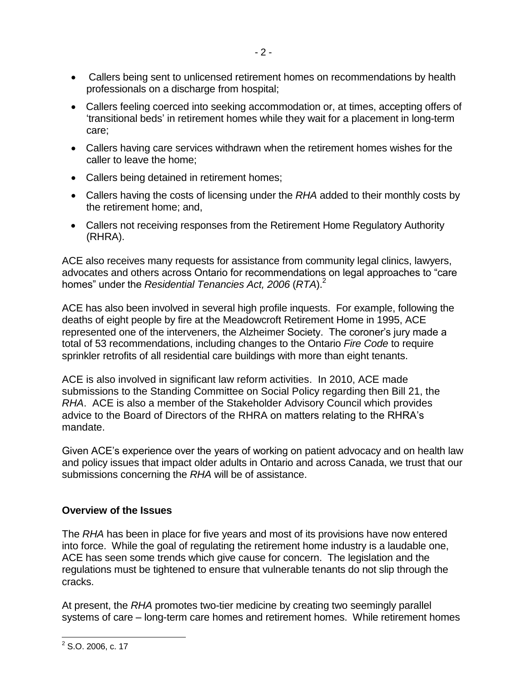- Callers being sent to unlicensed retirement homes on recommendations by health professionals on a discharge from hospital;
- Callers feeling coerced into seeking accommodation or, at times, accepting offers of 'transitional beds' in retirement homes while they wait for a placement in long-term care;
- Callers having care services withdrawn when the retirement homes wishes for the caller to leave the home;
- Callers being detained in retirement homes;
- Callers having the costs of licensing under the *RHA* added to their monthly costs by the retirement home; and,
- <span id="page-1-0"></span> Callers not receiving responses from the Retirement Home Regulatory Authority (RHRA).

ACE also receives many requests for assistance from community legal clinics, lawyers, advocates and others across Ontario for recommendations on legal approaches to "care homes" under the *Residential Tenancies Act, 2006* (*RTA*). 2

ACE has also been involved in several high profile inquests. For example, following the deaths of eight people by fire at the Meadowcroft Retirement Home in 1995, ACE represented one of the interveners, the Alzheimer Society. The coroner's jury made a total of 53 recommendations, including changes to the Ontario *Fire Code* to require sprinkler retrofits of all residential care buildings with more than eight tenants.

ACE is also involved in significant law reform activities. In 2010, ACE made submissions to the Standing Committee on Social Policy regarding then Bill 21, the *RHA*. ACE is also a member of the Stakeholder Advisory Council which provides advice to the Board of Directors of the RHRA on matters relating to the RHRA's mandate.

Given ACE's experience over the years of working on patient advocacy and on health law and policy issues that impact older adults in Ontario and across Canada, we trust that our submissions concerning the *RHA* will be of assistance.

# **Overview of the Issues**

The *RHA* has been in place for five years and most of its provisions have now entered into force. While the goal of regulating the retirement home industry is a laudable one, ACE has seen some trends which give cause for concern. The legislation and the regulations must be tightened to ensure that vulnerable tenants do not slip through the cracks.

At present, the *RHA* promotes two-tier medicine by creating two seemingly parallel systems of care – long-term care homes and retirement homes. While retirement homes

 $\frac{2}{2}$  S.O. 2006, c. 17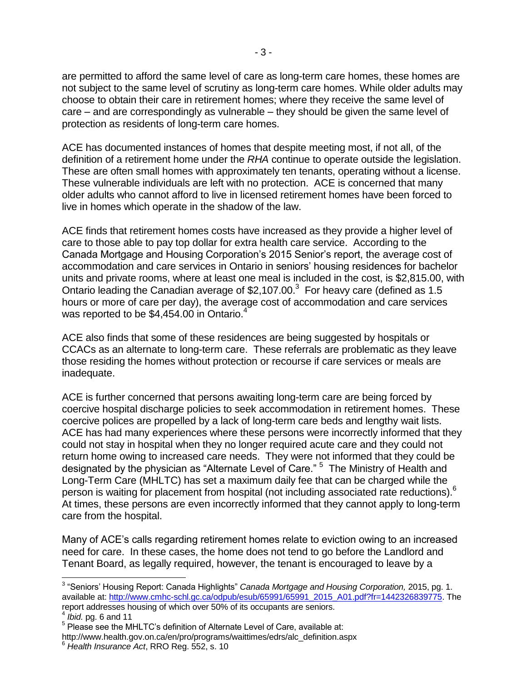are permitted to afford the same level of care as long-term care homes, these homes are not subject to the same level of scrutiny as long-term care homes. While older adults may choose to obtain their care in retirement homes; where they receive the same level of care – and are correspondingly as vulnerable – they should be given the same level of protection as residents of long-term care homes.

- 3 -

ACE has documented instances of homes that despite meeting most, if not all, of the definition of a retirement home under the *RHA* continue to operate outside the legislation. These are often small homes with approximately ten tenants, operating without a license. These vulnerable individuals are left with no protection. ACE is concerned that many older adults who cannot afford to live in licensed retirement homes have been forced to live in homes which operate in the shadow of the law.

ACE finds that retirement homes costs have increased as they provide a higher level of care to those able to pay top dollar for extra health care service. According to the Canada Mortgage and Housing Corporation's 2015 Senior's report, the average cost of accommodation and care services in Ontario in seniors' housing residences for bachelor units and private rooms, where at least one meal is included in the cost, is \$2,815.00, with Ontario leading the Canadian average of \$2,107.00. $3$  For heavy care (defined as 1.5 hours or more of care per day), the average cost of accommodation and care services was reported to be \$4,454.00 in Ontario.<sup>4</sup>

ACE also finds that some of these residences are being suggested by hospitals or CCACs as an alternate to long-term care. These referrals are problematic as they leave those residing the homes without protection or recourse if care services or meals are inadequate.

ACE is further concerned that persons awaiting long-term care are being forced by coercive hospital discharge policies to seek accommodation in retirement homes. These coercive polices are propelled by a lack of long-term care beds and lengthy wait lists. ACE has had many experiences where these persons were incorrectly informed that they could not stay in hospital when they no longer required acute care and they could not return home owing to increased care needs. They were not informed that they could be designated by the physician as "Alternate Level of Care." <sup>5</sup> The Ministry of Health and Long-Term Care (MHLTC) has set a maximum daily fee that can be charged while the person is waiting for placement from hospital (not including associated rate reductions). $6$ At times, these persons are even incorrectly informed that they cannot apply to long-term care from the hospital.

Many of ACE's calls regarding retirement homes relate to eviction owing to an increased need for care. In these cases, the home does not tend to go before the Landlord and Tenant Board, as legally required, however, the tenant is encouraged to leave by a

 3 "Seniors' Housing Report: Canada Highlights" *Canada Mortgage and Housing Corporation,* 2015, pg. 1. available at[: http://www.cmhc-schl.gc.ca/odpub/esub/65991/65991\\_2015\\_A01.pdf?fr=1442326839775.](http://www.cmhc-schl.gc.ca/odpub/esub/65991/65991_2015_A01.pdf?fr=1442326839775) The report addresses housing of which over 50% of its occupants are seniors.

<sup>4</sup> *Ibid.* pg. 6 and 11

<sup>&</sup>lt;sup>5</sup> Please see the MHLTC's definition of Alternate Level of Care, available at:

http://www.health.gov.on.ca/en/pro/programs/waittimes/edrs/alc\_definition.aspx <sup>6</sup> *Health Insurance Act*, RRO Reg. 552, s. 10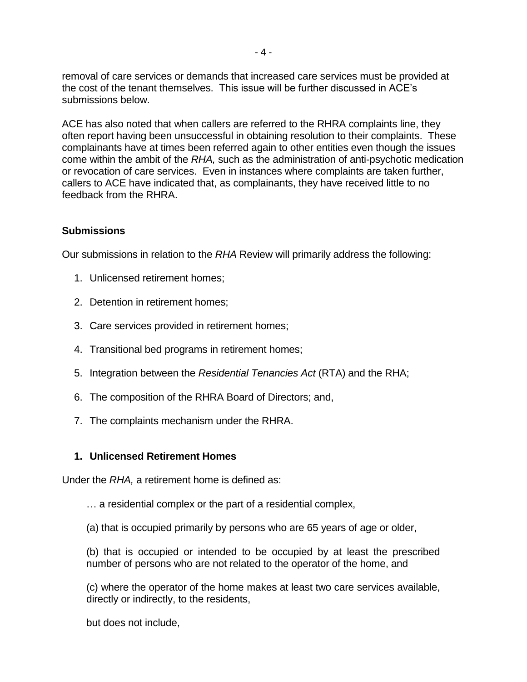removal of care services or demands that increased care services must be provided at the cost of the tenant themselves. This issue will be further discussed in ACE's submissions below.

ACE has also noted that when callers are referred to the RHRA complaints line, they often report having been unsuccessful in obtaining resolution to their complaints. These complainants have at times been referred again to other entities even though the issues come within the ambit of the *RHA,* such as the administration of anti-psychotic medication or revocation of care services. Even in instances where complaints are taken further, callers to ACE have indicated that, as complainants, they have received little to no feedback from the RHRA.

### **Submissions**

Our submissions in relation to the *RHA* Review will primarily address the following:

- 1. Unlicensed retirement homes;
- 2. Detention in retirement homes;
- 3. Care services provided in retirement homes;
- 4. Transitional bed programs in retirement homes;
- 5. Integration between the *Residential Tenancies Act* (RTA) and the RHA;
- 6. The composition of the RHRA Board of Directors; and,
- 7. The complaints mechanism under the RHRA.

#### **1. Unlicensed Retirement Homes**

Under the *RHA,* a retirement home is defined as:

… a residential complex or the part of a residential complex,

(a) that is occupied primarily by persons who are 65 years of age or older,

(b) that is occupied or intended to be occupied by at least the prescribed number of persons who are not related to the operator of the home, and

(c) where the operator of the home makes at least two care services available, directly or indirectly, to the residents,

but does not include,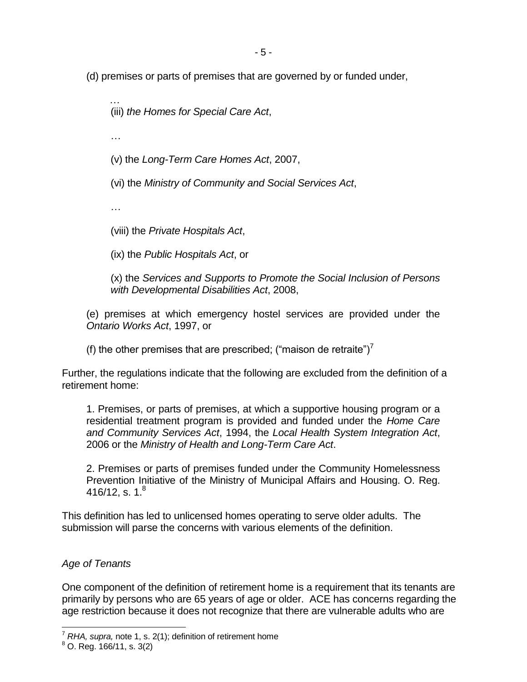- 5 -

(d) premises or parts of premises that are governed by or funded under,

 … (iii) *the Homes for Special Care Act*,

…

(v) the *Long-Term Care Homes Act*, 2007,

(vi) the *Ministry of Community and Social Services Act*,

…

(viii) the *Private Hospitals Act*,

(ix) the *Public Hospitals Act*, or

(x) the *Services and Supports to Promote the Social Inclusion of Persons with Developmental Disabilities Act*, 2008,

(e) premises at which emergency hostel services are provided under the *Ontario Works Act*, 1997, or

(f) the other premises that are prescribed; ("maison de retraite")<sup>7</sup>

Further, the regulations indicate that the following are excluded from the definition of a retirement home:

1. Premises, or parts of premises, at which a supportive housing program or a residential treatment program is provided and funded under the *Home Care and Community Services Act*, 1994, the *Local Health System Integration Act*, 2006 or the *Ministry of Health and Long-Term Care Act*.

<span id="page-4-0"></span>2. Premises or parts of premises funded under the Community Homelessness Prevention Initiative of the Ministry of Municipal Affairs and Housing. O. Reg. 416/12, s. 1. $^8$ 

This definition has led to unlicensed homes operating to serve older adults. The submission will parse the concerns with various elements of the definition.

### *Age of Tenants*

One component of the definition of retirement home is a requirement that its tenants are primarily by persons who are 65 years of age or older. ACE has concerns regarding the age restriction because it does not recognize that there are vulnerable adults who are

 <sup>7</sup> *RHA, supra,* note [1,](#page-0-0) s. 2(1); definition of retirement home

 $8$  O. Reg. 166/11, s. 3(2)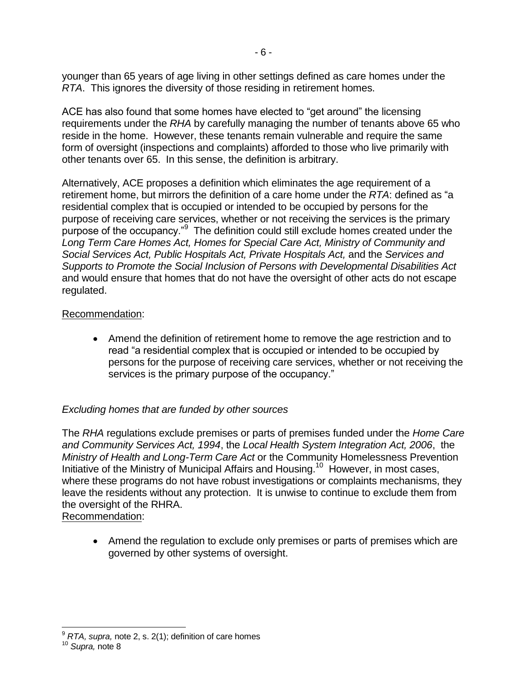younger than 65 years of age living in other settings defined as care homes under the *RTA*. This ignores the diversity of those residing in retirement homes.

ACE has also found that some homes have elected to "get around" the licensing requirements under the *RHA* by carefully managing the number of tenants above 65 who reside in the home. However, these tenants remain vulnerable and require the same form of oversight (inspections and complaints) afforded to those who live primarily with other tenants over 65. In this sense, the definition is arbitrary.

Alternatively, ACE proposes a definition which eliminates the age requirement of a retirement home, but mirrors the definition of a care home under the *RTA*: defined as "a residential complex that is occupied or intended to be occupied by persons for the purpose of receiving care services, whether or not receiving the services is the primary purpose of the occupancy."<sup>9</sup> The definition could still exclude homes created under the *Long Term Care Homes Act, Homes for Special Care Act, Ministry of Community and Social Services Act, Public Hospitals Act, Private Hospitals Act,* and the *Services and Supports to Promote the Social Inclusion of Persons with Developmental Disabilities Act* and would ensure that homes that do not have the oversight of other acts do not escape regulated.

#### Recommendation:

 Amend the definition of retirement home to remove the age restriction and to read "a residential complex that is occupied or intended to be occupied by persons for the purpose of receiving care services, whether or not receiving the services is the primary purpose of the occupancy."

### *Excluding homes that are funded by other sources*

The *RHA* regulations exclude premises or parts of premises funded under the *Home Care and Community Services Act, 1994*, the *Local Health System Integration Act, 2006*, the *Ministry of Health and Long-Term Care Act* or the Community Homelessness Prevention Initiative of the Ministry of Municipal Affairs and Housing.<sup>10</sup> However, in most cases, where these programs do not have robust investigations or complaints mechanisms, they leave the residents without any protection. It is unwise to continue to exclude them from the oversight of the RHRA.

### Recommendation:

• Amend the regulation to exclude only premises or parts of premises which are governed by other systems of oversight.

j <sup>9</sup> *RTA, supra,* note [2,](#page-1-0) s. 2(1); definition of care homes

<sup>10</sup> *Supra,* note [8](#page-4-0)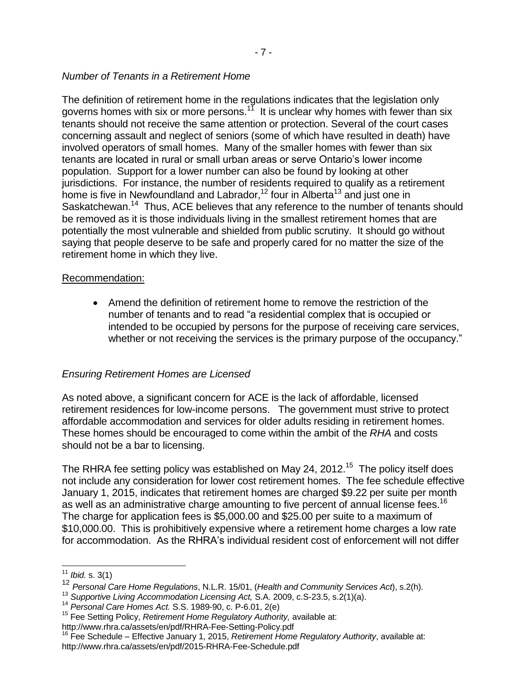# *Number of Tenants in a Retirement Home*

The definition of retirement home in the regulations indicates that the legislation only governs homes with six or more persons.<sup>17</sup> It is unclear why homes with fewer than six tenants should not receive the same attention or protection. Several of the court cases concerning assault and neglect of seniors (some of which have resulted in death) have involved operators of small homes. Many of the smaller homes with fewer than six tenants are located in rural or small urban areas or serve Ontario's lower income population. Support for a lower number can also be found by looking at other jurisdictions. For instance, the number of residents required to qualify as a retirement home is five in Newfoundland and Labrador,<sup>12</sup> four in Alberta<sup>13</sup> and just one in Saskatchewan.<sup>14</sup> Thus, ACE believes that any reference to the number of tenants should be removed as it is those individuals living in the smallest retirement homes that are potentially the most vulnerable and shielded from public scrutiny. It should go without saying that people deserve to be safe and properly cared for no matter the size of the retirement home in which they live.

# Recommendation:

 Amend the definition of retirement home to remove the restriction of the number of tenants and to read "a residential complex that is occupied or intended to be occupied by persons for the purpose of receiving care services, whether or not receiving the services is the primary purpose of the occupancy."

# *Ensuring Retirement Homes are Licensed*

As noted above, a significant concern for ACE is the lack of affordable, licensed retirement residences for low-income persons. The government must strive to protect affordable accommodation and services for older adults residing in retirement homes. These homes should be encouraged to come within the ambit of the *RHA* and costs should not be a bar to licensing.

The RHRA fee setting policy was established on May 24, 2012.<sup>15</sup> The policy itself does not include any consideration for lower cost retirement homes. The fee schedule effective January 1, 2015, indicates that retirement homes are charged \$9.22 per suite per month as well as an administrative charge amounting to five percent of annual license fees.<sup>16</sup> The charge for application fees is \$5,000.00 and \$25.00 per suite to a maximum of \$10,000.00. This is prohibitively expensive where a retirement home charges a low rate for accommodation. As the RHRA's individual resident cost of enforcement will not differ

 $\overline{a}$ 

<sup>11</sup> *Ibid.* s. 3(1)

<sup>12</sup> *Personal Care Home Regulations*, N.L.R. 15/01, (*Health and Community Services Act*), s.2(h).

<sup>&</sup>lt;sup>13</sup> Supportive Living Accommodation Licensing Act, S.A. 2009, c.S-23.5, s.2(1)(a).

<sup>14</sup> *Personal Care Homes Act.* S.S. 1989-90, c. P-6.01, 2(e)

<sup>15</sup> Fee Setting Policy, *Retirement Home Regulatory Authority,* available at:

http://www.rhra.ca/assets/en/pdf/RHRA-Fee-Setting-Policy.pdf

<sup>16</sup> Fee Schedule – Effective January 1, 2015, *Retirement Home Regulatory Authority*, available at: http://www.rhra.ca/assets/en/pdf/2015-RHRA-Fee-Schedule.pdf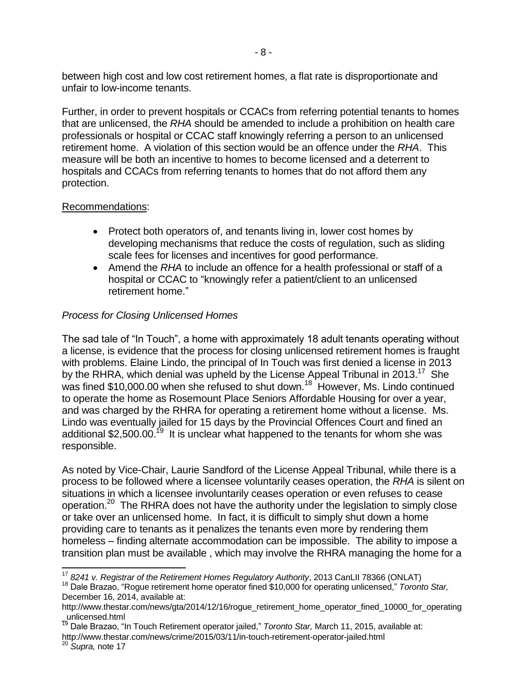between high cost and low cost retirement homes, a flat rate is disproportionate and unfair to low-income tenants.

Further, in order to prevent hospitals or CCACs from referring potential tenants to homes that are unlicensed, the *RHA* should be amended to include a prohibition on health care professionals or hospital or CCAC staff knowingly referring a person to an unlicensed retirement home. A violation of this section would be an offence under the *RHA*. This measure will be both an incentive to homes to become licensed and a deterrent to hospitals and CCACs from referring tenants to homes that do not afford them any protection.

### Recommendations:

- Protect both operators of, and tenants living in, lower cost homes by developing mechanisms that reduce the costs of regulation, such as sliding scale fees for licenses and incentives for good performance.
- <span id="page-7-0"></span> Amend the *RHA* to include an offence for a health professional or staff of a hospital or CCAC to "knowingly refer a patient/client to an unlicensed retirement home."

# *Process for Closing Unlicensed Homes*

The sad tale of "In Touch", a home with approximately 18 adult tenants operating without a license, is evidence that the process for closing unlicensed retirement homes is fraught with problems. Elaine Lindo, the principal of In Touch was first denied a license in 2013 by the RHRA, which denial was upheld by the License Appeal Tribunal in 2013.<sup>17</sup> She was fined \$10,000.00 when she refused to shut down.<sup>18</sup> However, Ms. Lindo continued to operate the home as Rosemount Place Seniors Affordable Housing for over a year, and was charged by the RHRA for operating a retirement home without a license. Ms. Lindo was eventually jailed for 15 days by the Provincial Offences Court and fined an additional \$2,500.00.<sup>19</sup> It is unclear what happened to the tenants for whom she was responsible.

As noted by Vice-Chair, Laurie Sandford of the License Appeal Tribunal, while there is a process to be followed where a licensee voluntarily ceases operation, the *RHA* is silent on situations in which a licensee involuntarily ceases operation or even refuses to cease operation.<sup>20</sup> The RHRA does not have the authority under the legislation to simply close or take over an unlicensed home. In fact, it is difficult to simply shut down a home providing care to tenants as it penalizes the tenants even more by rendering them homeless – finding alternate accommodation can be impossible. The ability to impose a transition plan must be available , which may involve the RHRA managing the home for a

 $\overline{\phantom{a}}$ <sup>17</sup> 8241 v. Registrar of the Retirement Homes Regulatory Authority, 2013 CanLII 78366 (ONLAT)

<sup>18</sup> Dale Brazao, "Rogue retirement home operator fined \$10,000 for operating unlicensed," *Toronto Star,*  December 16, 2014, available at:

http://www.thestar.com/news/gta/2014/12/16/rogue\_retirement\_home\_operator\_fined\_10000\_for\_operating \_unlicensed.html

<sup>&</sup>lt;sup>19</sup> Dale Brazao, "In Touch Retirement operator jailed," *Toronto Star,* March 11, 2015, available at: http://www.thestar.com/news/crime/2015/03/11/in-touch-retirement-operator-jailed.html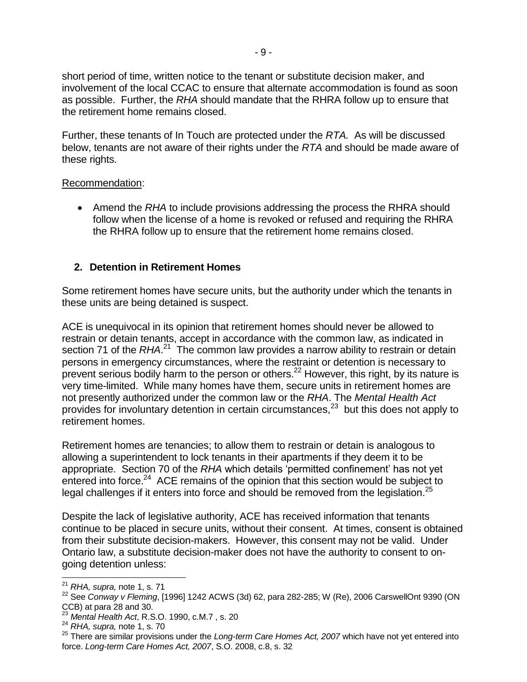short period of time, written notice to the tenant or substitute decision maker, and involvement of the local CCAC to ensure that alternate accommodation is found as soon as possible. Further, the *RHA* should mandate that the RHRA follow up to ensure that the retirement home remains closed.

Further, these tenants of In Touch are protected under the *RTA.* As will be discussed below, tenants are not aware of their rights under the *RTA* and should be made aware of these rights.

#### Recommendation:

 Amend the *RHA* to include provisions addressing the process the RHRA should follow when the license of a home is revoked or refused and requiring the RHRA the RHRA follow up to ensure that the retirement home remains closed.

# **2. Detention in Retirement Homes**

Some retirement homes have secure units, but the authority under which the tenants in these units are being detained is suspect.

ACE is unequivocal in its opinion that retirement homes should never be allowed to restrain or detain tenants, accept in accordance with the common law, as indicated in section 71 of the *RHA*.<sup>21</sup> The common law provides a narrow ability to restrain or detain persons in emergency circumstances, where the restraint or detention is necessary to prevent serious bodily harm to the person or others.<sup>22</sup> However, this right, by its nature is very time-limited. While many homes have them, secure units in retirement homes are not presently authorized under the common law or the *RHA*. The *Mental Health Act*  provides for involuntary detention in certain circumstances, $^{23}$  but this does not apply to retirement homes.

<span id="page-8-0"></span>Retirement homes are tenancies; to allow them to restrain or detain is analogous to allowing a superintendent to lock tenants in their apartments if they deem it to be appropriate. Section 70 of the *RHA* which details 'permitted confinement' has not yet entered into force.<sup>24</sup> ACE remains of the opinion that this section would be subject to legal challenges if it enters into force and should be removed from the legislation.<sup>25</sup>

<span id="page-8-1"></span>Despite the lack of legislative authority, ACE has received information that tenants continue to be placed in secure units, without their consent. At times, consent is obtained from their substitute decision-makers. However, this consent may not be valid. Under Ontario law, a substitute decision-maker does not have the authority to consent to ongoing detention unless:

j

<sup>21</sup> *RHA, supra,* note [1,](#page-0-0) s. 71

<sup>22</sup> See *Conway v Fleming*, [1996] 1242 ACWS (3d) 62, para 282-285; W (Re), 2006 CarswellOnt 9390 (ON CCB) at para 28 and 30.

<sup>23</sup> *Mental Health Act*, R.S.O. 1990, c.M.7 , s. 20

<sup>24</sup> *RHA, supra,* note [1,](#page-0-0) s. 70

<sup>25</sup> There are similar provisions under the *Long-term Care Homes Act, 2007* which have not yet entered into force. *Long-term Care Homes Act, 2007*, S.O. 2008, c.8, s. 32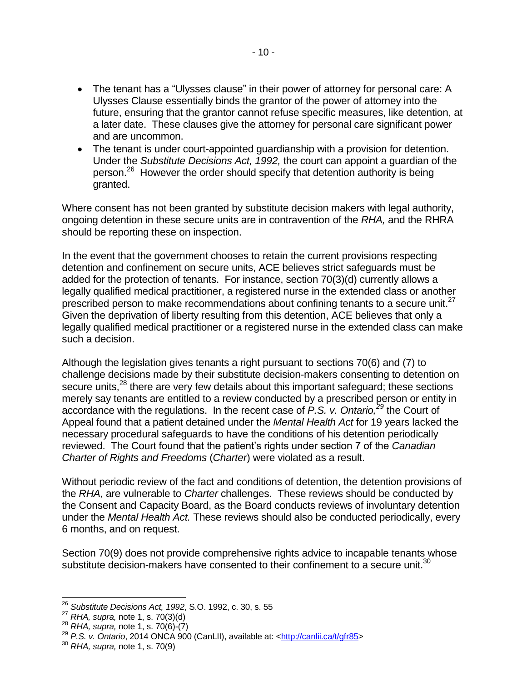- The tenant has a "Ulysses clause" in their power of attorney for personal care: A Ulysses Clause essentially binds the grantor of the power of attorney into the future, ensuring that the grantor cannot refuse specific measures, like detention, at a later date. These clauses give the attorney for personal care significant power and are uncommon.
- The tenant is under court-appointed quardianship with a provision for detention. Under the *Substitute Decisions Act, 1992,* the court can appoint a guardian of the person.<sup>26</sup> However the order should specify that detention authority is being granted.

Where consent has not been granted by substitute decision makers with legal authority, ongoing detention in these secure units are in contravention of the *RHA,* and the RHRA should be reporting these on inspection.

In the event that the government chooses to retain the current provisions respecting detention and confinement on secure units, ACE believes strict safeguards must be added for the protection of tenants. For instance, section 70(3)(d) currently allows a legally qualified medical practitioner, a registered nurse in the extended class or another prescribed person to make recommendations about confining tenants to a secure unit. $27$ Given the deprivation of liberty resulting from this detention, ACE believes that only a legally qualified medical practitioner or a registered nurse in the extended class can make such a decision.

Although the legislation gives tenants a right pursuant to sections 70(6) and (7) to challenge decisions made by their substitute decision-makers consenting to detention on secure units,<sup>28</sup> there are very few details about this important safeguard; these sections merely say tenants are entitled to a review conducted by a prescribed person or entity in accordance with the regulations. In the recent case of P.S. v. Ontario,<sup>29</sup> the Court of Appeal found that a patient detained under the *Mental Health Act* for 19 years lacked the necessary procedural safeguards to have the conditions of his detention periodically reviewed. The Court found that the patient's rights under section 7 of the *Canadian Charter of Rights and Freedoms* (*Charter*) were violated as a result.

Without periodic review of the fact and conditions of detention, the detention provisions of the *RHA,* are vulnerable to *Charter* challenges. These reviews should be conducted by the Consent and Capacity Board, as the Board conducts reviews of involuntary detention under the *Mental Health Act.* These reviews should also be conducted periodically, every 6 months, and on request.

Section 70(9) does not provide comprehensive rights advice to incapable tenants whose substitute decision-makers have consented to their confinement to a secure unit. $30$ 

j <sup>26</sup> *Substitute Decisions Act, 1992*, S.O. 1992, c. 30, s. 55

<sup>27</sup> *RHA, supra,* note [1,](#page-0-0) s. 70(3)(d)

<sup>28</sup> *RHA, supra,* note [1,](#page-0-0) s. 70(6)-(7)

<sup>29</sup> *P.S. v. Ontario*, 2014 ONCA 900 (CanLII), available at: [<http://canlii.ca/t/gfr85>](http://canlii.ca/t/gfr85)

<sup>30</sup> *RHA, supra,* note [1,](#page-0-0) s. 70(9)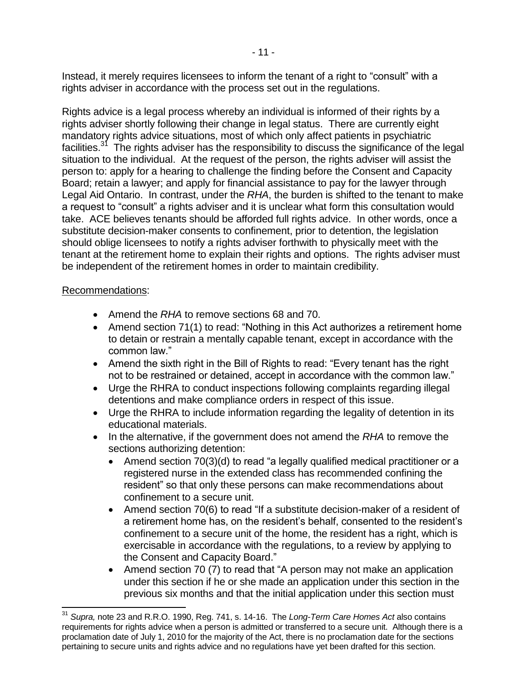Instead, it merely requires licensees to inform the tenant of a right to "consult" with a rights adviser in accordance with the process set out in the regulations.

Rights advice is a legal process whereby an individual is informed of their rights by a rights adviser shortly following their change in legal status. There are currently eight mandatory rights advice situations, most of which only affect patients in psychiatric facilities.<sup>31</sup> The rights adviser has the responsibility to discuss the significance of the legal situation to the individual. At the request of the person, the rights adviser will assist the person to: apply for a hearing to challenge the finding before the Consent and Capacity Board; retain a lawyer; and apply for financial assistance to pay for the lawyer through Legal Aid Ontario. In contrast, under the *RHA*, the burden is shifted to the tenant to make a request to "consult" a rights adviser and it is unclear what form this consultation would take. ACE believes tenants should be afforded full rights advice. In other words, once a substitute decision-maker consents to confinement, prior to detention, the legislation should oblige licensees to notify a rights adviser forthwith to physically meet with the tenant at the retirement home to explain their rights and options. The rights adviser must be independent of the retirement homes in order to maintain credibility.

#### Recommendations:

- Amend the *RHA* to remove sections 68 and 70.
- Amend section 71(1) to read: "Nothing in this Act authorizes a retirement home to detain or restrain a mentally capable tenant, except in accordance with the common law."
- Amend the sixth right in the Bill of Rights to read: "Every tenant has the right not to be restrained or detained, accept in accordance with the common law."
- Urge the RHRA to conduct inspections following complaints regarding illegal detentions and make compliance orders in respect of this issue.
- Urge the RHRA to include information regarding the legality of detention in its educational materials.
- In the alternative, if the government does not amend the *RHA* to remove the sections authorizing detention:
	- Amend section 70(3)(d) to read "a legally qualified medical practitioner or a registered nurse in the extended class has recommended confining the resident" so that only these persons can make recommendations about confinement to a secure unit.
	- Amend section 70(6) to read "If a substitute decision-maker of a resident of a retirement home has, on the resident's behalf, consented to the resident's confinement to a secure unit of the home, the resident has a right, which is exercisable in accordance with the regulations, to a review by applying to the Consent and Capacity Board."
	- Amend section 70 (7) to read that "A person may not make an application under this section if he or she made an application under this section in the previous six months and that the initial application under this section must

l, <sup>31</sup> *Supra,* note [23](#page-8-0) and R.R.O. 1990, Reg. 741, s. 14-16.The *Long-Term Care Homes Act* also contains requirements for rights advice when a person is admitted or transferred to a secure unit. Although there is a proclamation date of July 1, 2010 for the majority of the Act, there is no proclamation date for the sections pertaining to secure units and rights advice and no regulations have yet been drafted for this section.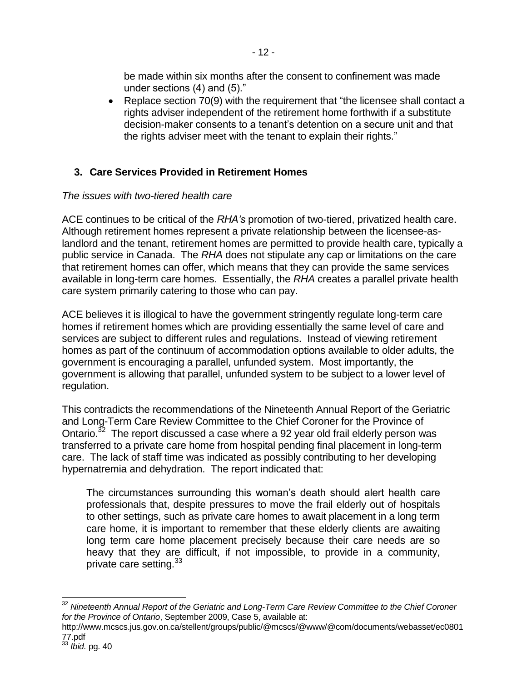be made within six months after the consent to confinement was made under sections (4) and (5)."

• Replace section 70(9) with the requirement that "the licensee shall contact a rights adviser independent of the retirement home forthwith if a substitute decision-maker consents to a tenant's detention on a secure unit and that the rights adviser meet with the tenant to explain their rights."

# **3. Care Services Provided in Retirement Homes**

# *The issues with two-tiered health care*

ACE continues to be critical of the *RHA's* promotion of two-tiered, privatized health care. Although retirement homes represent a private relationship between the licensee-aslandlord and the tenant, retirement homes are permitted to provide health care, typically a public service in Canada. The *RHA* does not stipulate any cap or limitations on the care that retirement homes can offer, which means that they can provide the same services available in long-term care homes. Essentially, the *RHA* creates a parallel private health care system primarily catering to those who can pay.

ACE believes it is illogical to have the government stringently regulate long-term care homes if retirement homes which are providing essentially the same level of care and services are subject to different rules and regulations. Instead of viewing retirement homes as part of the continuum of accommodation options available to older adults, the government is encouraging a parallel, unfunded system. Most importantly, the government is allowing that parallel, unfunded system to be subject to a lower level of regulation.

<span id="page-11-0"></span>This contradicts the recommendations of the Nineteenth Annual Report of the Geriatric and Long-Term Care Review Committee to the Chief Coroner for the Province of Ontario.<sup>32</sup> The report discussed a case where a 92 year old frail elderly person was transferred to a private care home from hospital pending final placement in long-term care. The lack of staff time was indicated as possibly contributing to her developing hypernatremia and dehydration. The report indicated that:

The circumstances surrounding this woman's death should alert health care professionals that, despite pressures to move the frail elderly out of hospitals to other settings, such as private care homes to await placement in a long term care home, it is important to remember that these elderly clients are awaiting long term care home placement precisely because their care needs are so heavy that they are difficult, if not impossible, to provide in a community, private care setting.<sup>33</sup>

l, <sup>32</sup> *Nineteenth Annual Report of the Geriatric and Long-Term Care Review Committee to the Chief Coroner for the Province of Ontario*, September 2009, Case 5, available at:

http://www.mcscs.jus.gov.on.ca/stellent/groups/public/@mcscs/@www/@com/documents/webasset/ec0801 77.pdf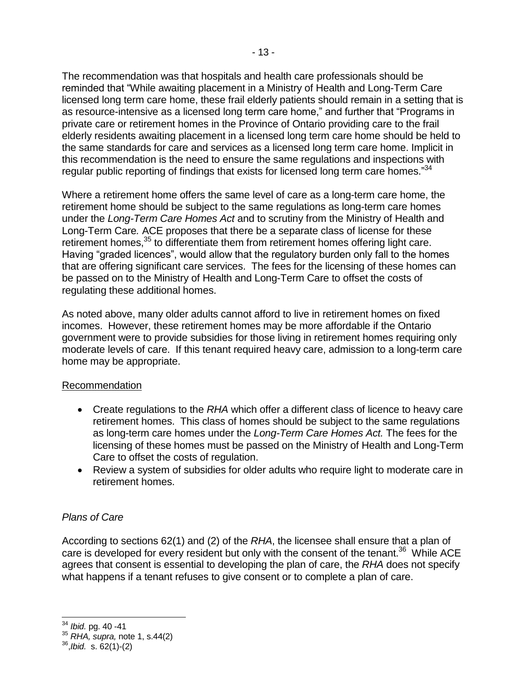The recommendation was that hospitals and health care professionals should be reminded that "While awaiting placement in a Ministry of Health and Long-Term Care licensed long term care home, these frail elderly patients should remain in a setting that is as resource-intensive as a licensed long term care home," and further that "Programs in private care or retirement homes in the Province of Ontario providing care to the frail elderly residents awaiting placement in a licensed long term care home should be held to the same standards for care and services as a licensed long term care home. Implicit in this recommendation is the need to ensure the same regulations and inspections with regular public reporting of findings that exists for licensed long term care homes."34

Where a retirement home offers the same level of care as a long-term care home, the retirement home should be subject to the same regulations as long-term care homes under the *Long-Term Care Homes Act* and to scrutiny from the Ministry of Health and Long-Term Care*.* ACE proposes that there be a separate class of license for these retirement homes.<sup>35</sup> to differentiate them from retirement homes offering light care. Having "graded licences", would allow that the regulatory burden only fall to the homes that are offering significant care services. The fees for the licensing of these homes can be passed on to the Ministry of Health and Long-Term Care to offset the costs of regulating these additional homes.

As noted above, many older adults cannot afford to live in retirement homes on fixed incomes. However, these retirement homes may be more affordable if the Ontario government were to provide subsidies for those living in retirement homes requiring only moderate levels of care. If this tenant required heavy care, admission to a long-term care home may be appropriate.

### Recommendation

- Create regulations to the *RHA* which offer a different class of licence to heavy care retirement homes. This class of homes should be subject to the same regulations as long-term care homes under the *Long-Term Care Homes Act.* The fees for the licensing of these homes must be passed on the Ministry of Health and Long-Term Care to offset the costs of regulation.
- Review a system of subsidies for older adults who require light to moderate care in retirement homes.

### *Plans of Care*

According to sections 62(1) and (2) of the *RHA*, the licensee shall ensure that a plan of care is developed for every resident but only with the consent of the tenant.<sup>36</sup> While ACE agrees that consent is essential to developing the plan of care, the *RHA* does not specify what happens if a tenant refuses to give consent or to complete a plan of care.

 $\overline{a}$ <sup>34</sup> *Ibid.* pg. 40 -41

<sup>35</sup> *RHA, supra,* note [1,](#page-0-0) s.44(2)

<sup>36</sup> ,*Ibid.* s. 62(1)-(2)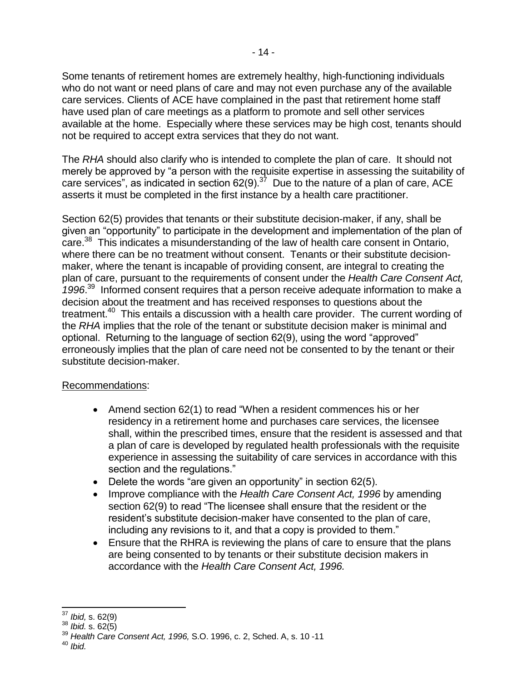Some tenants of retirement homes are extremely healthy, high-functioning individuals who do not want or need plans of care and may not even purchase any of the available care services. Clients of ACE have complained in the past that retirement home staff have used plan of care meetings as a platform to promote and sell other services available at the home. Especially where these services may be high cost, tenants should not be required to accept extra services that they do not want.

The *RHA* should also clarify who is intended to complete the plan of care. It should not merely be approved by "a person with the requisite expertise in assessing the suitability of care services", as indicated in section 62(9).<sup>37</sup> Due to the nature of a plan of care, ACE asserts it must be completed in the first instance by a health care practitioner.

Section 62(5) provides that tenants or their substitute decision-maker, if any, shall be given an "opportunity" to participate in the development and implementation of the plan of care.<sup>38</sup> This indicates a misunderstanding of the law of health care consent in Ontario, where there can be no treatment without consent. Tenants or their substitute decisionmaker, where the tenant is incapable of providing consent, are integral to creating the plan of care, pursuant to the requirements of consent under the *Health Care Consent Act, 1996*. 39 Informed consent requires that a person receive adequate information to make a decision about the treatment and has received responses to questions about the treatment.<sup>40</sup> This entails a discussion with a health care provider. The current wording of the *RHA* implies that the role of the tenant or substitute decision maker is minimal and optional. Returning to the language of section 62(9), using the word "approved" erroneously implies that the plan of care need not be consented to by the tenant or their substitute decision-maker.

### Recommendations:

- Amend section 62(1) to read "When a resident commences his or her residency in a retirement home and purchases care services, the licensee shall, within the prescribed times, ensure that the resident is assessed and that a plan of care is developed by regulated health professionals with the requisite experience in assessing the suitability of care services in accordance with this section and the regulations."
- Delete the words "are given an opportunity" in section 62(5).
- Improve compliance with the *Health Care Consent Act, 1996* by amending section 62(9) to read "The licensee shall ensure that the resident or the resident's substitute decision-maker have consented to the plan of care, including any revisions to it, and that a copy is provided to them."
- Ensure that the RHRA is reviewing the plans of care to ensure that the plans are being consented to by tenants or their substitute decision makers in accordance with the *Health Care Consent Act, 1996.*

l, <sup>37</sup> *Ibid,* s. 62(9)

<sup>38</sup> *Ibid.* s. 62(5)

<sup>39</sup> *Health Care Consent Act, 1996,* S.O. 1996, c. 2, Sched. A, s. 10 -11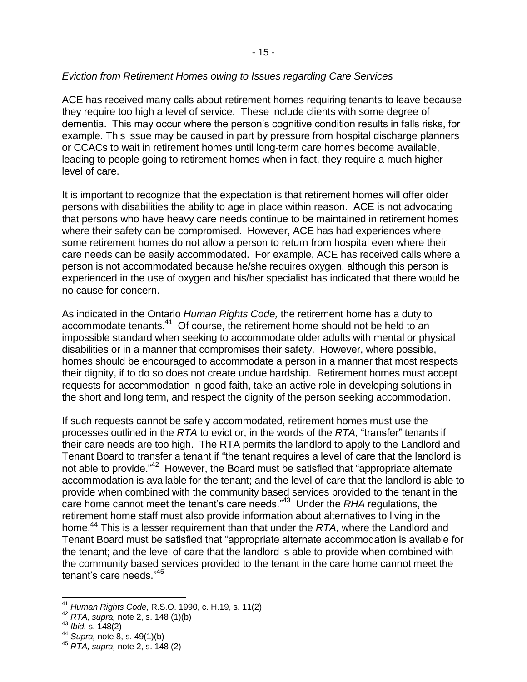# *Eviction from Retirement Homes owing to Issues regarding Care Services*

ACE has received many calls about retirement homes requiring tenants to leave because they require too high a level of service. These include clients with some degree of dementia. This may occur where the person's cognitive condition results in falls risks, for example. This issue may be caused in part by pressure from hospital discharge planners or CCACs to wait in retirement homes until long-term care homes become available, leading to people going to retirement homes when in fact, they require a much higher level of care.

It is important to recognize that the expectation is that retirement homes will offer older persons with disabilities the ability to age in place within reason. ACE is not advocating that persons who have heavy care needs continue to be maintained in retirement homes where their safety can be compromised. However, ACE has had experiences where some retirement homes do not allow a person to return from hospital even where their care needs can be easily accommodated. For example, ACE has received calls where a person is not accommodated because he/she requires oxygen, although this person is experienced in the use of oxygen and his/her specialist has indicated that there would be no cause for concern.

As indicated in the Ontario *Human Rights Code,* the retirement home has a duty to accommodate tenants.<sup>41</sup> Of course, the retirement home should not be held to an impossible standard when seeking to accommodate older adults with mental or physical disabilities or in a manner that compromises their safety. However, where possible, homes should be encouraged to accommodate a person in a manner that most respects their dignity, if to do so does not create undue hardship. Retirement homes must accept requests for accommodation in good faith, take an active role in developing solutions in the short and long term, and respect the dignity of the person seeking accommodation.

If such requests cannot be safely accommodated, retirement homes must use the processes outlined in the *RTA* to evict or, in the words of the *RTA,* "transfer" tenants if their care needs are too high. The RTA permits the landlord to apply to the Landlord and Tenant Board to transfer a tenant if "the tenant requires a level of care that the landlord is not able to provide."<sup>42</sup> However, the Board must be satisfied that "appropriate alternate accommodation is available for the tenant; and the level of care that the landlord is able to provide when combined with the community based services provided to the tenant in the care home cannot meet the tenant's care needs."<sup>43</sup> Under the *RHA* regulations, the retirement home staff must also provide information about alternatives to living in the home. <sup>44</sup> This is a lesser requirement than that under the *RTA,* where the Landlord and Tenant Board must be satisfied that "appropriate alternate accommodation is available for the tenant; and the level of care that the landlord is able to provide when combined with the community based services provided to the tenant in the care home cannot meet the tenant's care needs."<sup>45</sup>

l,

<sup>41</sup> *Human Rights Code*, R.S.O. 1990, c. H.19, s. 11(2)

<sup>42</sup> *RTA, supra,* note [2,](#page-1-0) s. 148 (1)(b)

<sup>43</sup> *Ibid.* s. 148(2)

<sup>44</sup> *Supra,* note [8,](#page-4-0) s. 49(1)(b)

<sup>45</sup> *RTA, supra,* note [2,](#page-1-0) s. 148 (2)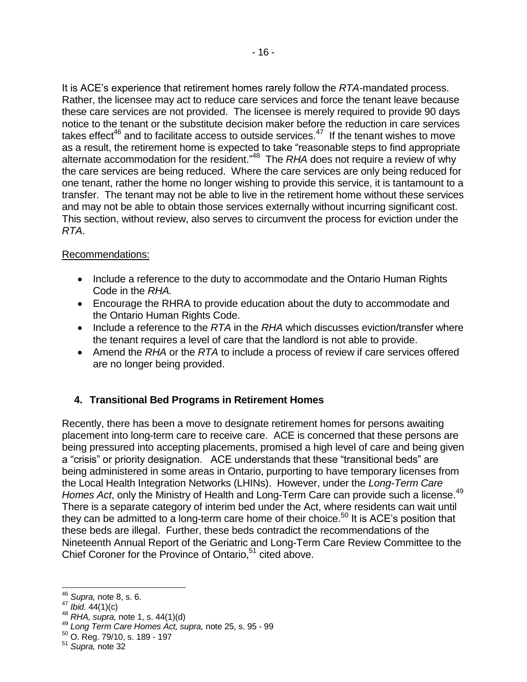It is ACE's experience that retirement homes rarely follow the *RTA-*mandated process. Rather, the licensee may act to reduce care services and force the tenant leave because these care services are not provided. The licensee is merely required to provide 90 days notice to the tenant or the substitute decision maker before the reduction in care services takes effect<sup>46</sup> and to facilitate access to outside services.<sup>47</sup> If the tenant wishes to move as a result, the retirement home is expected to take "reasonable steps to find appropriate alternate accommodation for the resident." <sup>48</sup> The *RHA* does not require a review of why the care services are being reduced. Where the care services are only being reduced for one tenant, rather the home no longer wishing to provide this service, it is tantamount to a transfer. The tenant may not be able to live in the retirement home without these services and may not be able to obtain those services externally without incurring significant cost. This section, without review, also serves to circumvent the process for eviction under the *RTA*.

# Recommendations:

- Include a reference to the duty to accommodate and the Ontario Human Rights Code in the *RHA.*
- Encourage the RHRA to provide education about the duty to accommodate and the Ontario Human Rights Code.
- Include a reference to the *RTA* in the *RHA* which discusses eviction/transfer where the tenant requires a level of care that the landlord is not able to provide.
- Amend the *RHA* or the *RTA* to include a process of review if care services offered are no longer being provided.

# **4. Transitional Bed Programs in Retirement Homes**

Recently, there has been a move to designate retirement homes for persons awaiting placement into long-term care to receive care. ACE is concerned that these persons are being pressured into accepting placements, promised a high level of care and being given a "crisis" or priority designation. ACE understands that these "transitional beds" are being administered in some areas in Ontario, purporting to have temporary licenses from the Local Health Integration Networks (LHINs). However, under the *Long-Term Care*  Homes Act, only the Ministry of Health and Long-Term Care can provide such a license.<sup>49</sup> There is a separate category of interim bed under the Act, where residents can wait until they can be admitted to a long-term care home of their choice.<sup>50</sup> It is ACE's position that these beds are illegal. Further, these beds contradict the recommendations of the Nineteenth Annual Report of the Geriatric and Long-Term Care Review Committee to the Chief Coroner for the Province of Ontario,<sup>51</sup> cited above.

l <sup>46</sup> *Supra,* note [8,](#page-4-0) s. 6.

<sup>47</sup> *Ibid.* 44(1)(c)

<sup>48</sup> *RHA, supra,* note [1,](#page-0-0) s. 44(1)(d)

<sup>49</sup> *Long Term Care Homes Act, supra,* note [25,](#page-8-1) s. 95 - 99

<sup>50</sup> O. Reg. 79/10, s. 189 - 197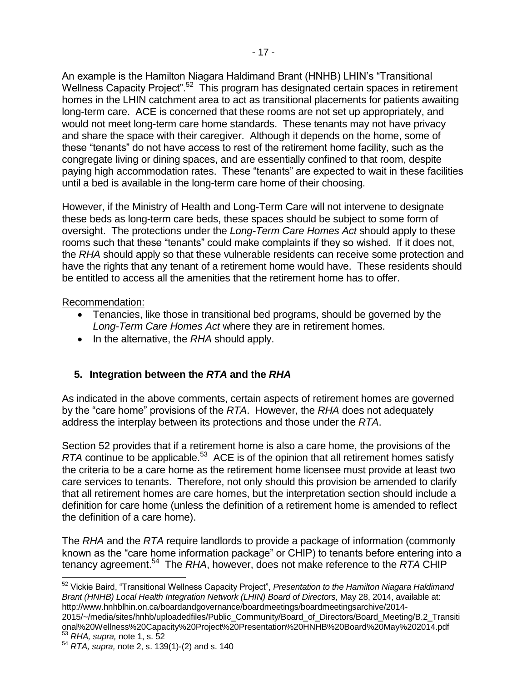An example is the Hamilton Niagara Haldimand Brant (HNHB) LHIN's "Transitional Wellness Capacity Project".<sup>52</sup> This program has designated certain spaces in retirement homes in the LHIN catchment area to act as transitional placements for patients awaiting long-term care. ACE is concerned that these rooms are not set up appropriately, and would not meet long-term care home standards. These tenants may not have privacy and share the space with their caregiver. Although it depends on the home, some of these "tenants" do not have access to rest of the retirement home facility, such as the congregate living or dining spaces, and are essentially confined to that room, despite paying high accommodation rates. These "tenants" are expected to wait in these facilities until a bed is available in the long-term care home of their choosing.

However, if the Ministry of Health and Long-Term Care will not intervene to designate these beds as long-term care beds, these spaces should be subject to some form of oversight. The protections under the *Long-Term Care Homes Act* should apply to these rooms such that these "tenants" could make complaints if they so wished. If it does not, the *RHA* should apply so that these vulnerable residents can receive some protection and have the rights that any tenant of a retirement home would have. These residents should be entitled to access all the amenities that the retirement home has to offer.

### Recommendation:

- Tenancies, like those in transitional bed programs, should be governed by the *Long-Term Care Homes Act* where they are in retirement homes.
- In the alternative, the *RHA* should apply.

# **5. Integration between the** *RTA* **and the** *RHA*

As indicated in the above comments, certain aspects of retirement homes are governed by the "care home" provisions of the *RTA*. However, the *RHA* does not adequately address the interplay between its protections and those under the *RTA*.

Section 52 provides that if a retirement home is also a care home, the provisions of the RTA continue to be applicable.<sup>53</sup> ACE is of the opinion that all retirement homes satisfy the criteria to be a care home as the retirement home licensee must provide at least two care services to tenants. Therefore, not only should this provision be amended to clarify that all retirement homes are care homes, but the interpretation section should include a definition for care home (unless the definition of a retirement home is amended to reflect the definition of a care home).

The *RHA* and the *RTA* require landlords to provide a package of information (commonly known as the "care home information package" or CHIP) to tenants before entering into a tenancy agreement.<sup>54</sup> The *RHA*, however, does not make reference to the *RTA* CHIP

2015/~/media/sites/hnhb/uploadedfiles/Public\_Community/Board\_of\_Directors/Board\_Meeting/B.2\_Transiti onal%20Wellness%20Capacity%20Project%20Presentation%20HNHB%20Board%20May%202014.pdf <sup>53</sup> *RHA, supra,* note [1,](#page-0-0) s. 52

<sup>52</sup> Vickie Baird, "Transitional Wellness Capacity Project", *Presentation to the Hamilton Niagara Haldimand Brant (HNHB) Local Health Integration Network (LHIN) Board of Directors,* May 28, 2014, available at: http://www.hnhblhin.on.ca/boardandgovernance/boardmeetings/boardmeetingsarchive/2014-

<sup>54</sup> *RTA, supra,* note [2,](#page-1-0) s. 139(1)-(2) and s. 140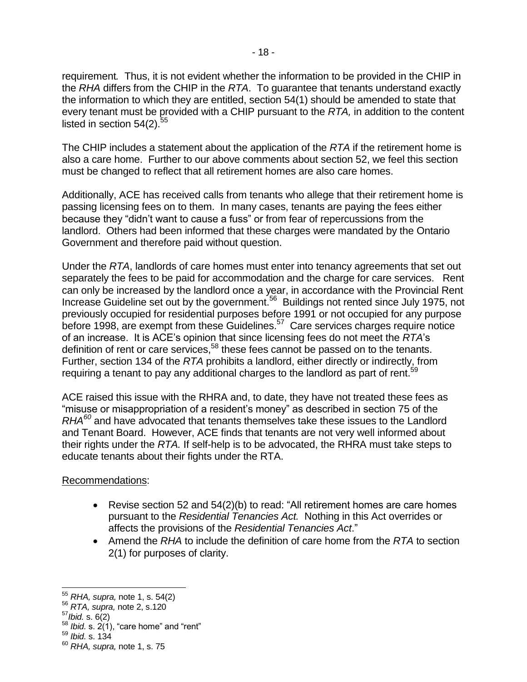requirement*.* Thus, it is not evident whether the information to be provided in the CHIP in the *RHA* differs from the CHIP in the *RTA*. To guarantee that tenants understand exactly the information to which they are entitled, section 54(1) should be amended to state that every tenant must be provided with a CHIP pursuant to the *RTA,* in addition to the content listed in section  $54(2)$ .<sup>55</sup>

The CHIP includes a statement about the application of the *RTA* if the retirement home is also a care home. Further to our above comments about section 52, we feel this section must be changed to reflect that all retirement homes are also care homes.

Additionally, ACE has received calls from tenants who allege that their retirement home is passing licensing fees on to them. In many cases, tenants are paying the fees either because they "didn't want to cause a fuss" or from fear of repercussions from the landlord. Others had been informed that these charges were mandated by the Ontario Government and therefore paid without question.

Under the *RTA*, landlords of care homes must enter into tenancy agreements that set out separately the fees to be paid for accommodation and the charge for care services. Rent can only be increased by the landlord once a year, in accordance with the Provincial Rent Increase Guideline set out by the government.<sup>56</sup> Buildings not rented since July 1975, not previously occupied for residential purposes before 1991 or not occupied for any purpose before 1998, are exempt from these Guidelines. $57$  Care services charges require notice of an increase. It is ACE's opinion that since licensing fees do not meet the *RTA*'s definition of rent or care services,<sup>58</sup> these fees cannot be passed on to the tenants. Further, section 134 of the *RTA* prohibits a landlord, either directly or indirectly, from requiring a tenant to pay any additional charges to the landlord as part of rent.<sup>59</sup>

ACE raised this issue with the RHRA and, to date, they have not treated these fees as "misuse or misappropriation of a resident's money" as described in section 75 of the *RHA<sup>60</sup>* and have advocated that tenants themselves take these issues to the Landlord and Tenant Board. However, ACE finds that tenants are not very well informed about their rights under the *RTA.* If self-help is to be advocated, the RHRA must take steps to educate tenants about their fights under the RTA.

# Recommendations:

- Revise section 52 and 54(2)(b) to read: "All retirement homes are care homes pursuant to the *Residential Tenancies Act.* Nothing in this Act overrides or affects the provisions of the *Residential Tenancies Act*."
- Amend the *RHA* to include the definition of care home from the *RTA* to section 2(1) for purposes of clarity.

l

<sup>55</sup> *RHA, supra,* note [1,](#page-0-0) s. 54(2)

<sup>56</sup> *RTA, supra,* note [2,](#page-1-0) s.120

<sup>57</sup>*Ibid.* s. 6(2)

 $58$  *Ibid.* s.  $2(1)$ , "care home" and "rent"

<sup>59</sup> *Ibid.* s. 134

<sup>60</sup> *RHA, supra,* note [1,](#page-0-0) s. 75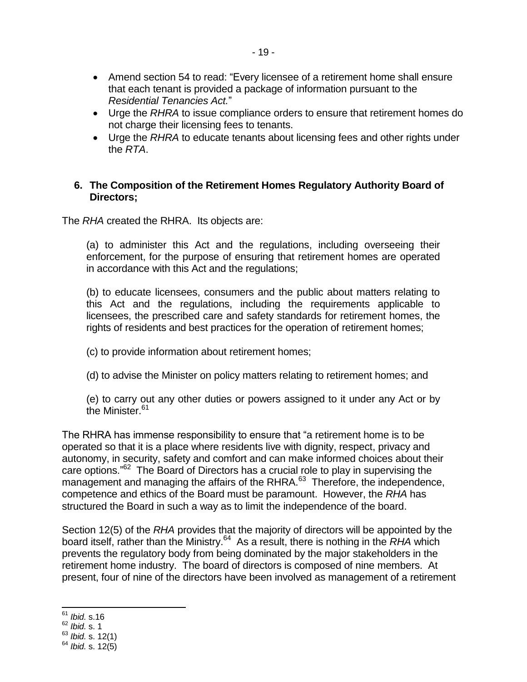- Amend section 54 to read: "Every licensee of a retirement home shall ensure that each tenant is provided a package of information pursuant to the *Residential Tenancies Act.*"
- Urge the *RHRA* to issue compliance orders to ensure that retirement homes do not charge their licensing fees to tenants.
- Urge the *RHRA* to educate tenants about licensing fees and other rights under the *RTA*.

### **6. The Composition of the Retirement Homes Regulatory Authority Board of Directors;**

The *RHA* created the RHRA. Its objects are:

(a) to administer this Act and the regulations, including overseeing their enforcement, for the purpose of ensuring that retirement homes are operated in accordance with this Act and the regulations;

(b) to educate licensees, consumers and the public about matters relating to this Act and the regulations, including the requirements applicable to licensees, the prescribed care and safety standards for retirement homes, the rights of residents and best practices for the operation of retirement homes;

(c) to provide information about retirement homes;

(d) to advise the Minister on policy matters relating to retirement homes; and

(e) to carry out any other duties or powers assigned to it under any Act or by the Minister.<sup>61</sup>

The RHRA has immense responsibility to ensure that "a retirement home is to be operated so that it is a place where residents live with dignity, respect, privacy and autonomy, in security, safety and comfort and can make informed choices about their care options."<sup>62</sup> The Board of Directors has a crucial role to play in supervising the management and managing the affairs of the RHRA.<sup>63</sup> Therefore, the independence, competence and ethics of the Board must be paramount. However, the *RHA* has structured the Board in such a way as to limit the independence of the board.

Section 12(5) of the *RHA* provides that the majority of directors will be appointed by the board itself, rather than the Ministry. 64 As a result, there is nothing in the *RHA* which prevents the regulatory body from being dominated by the major stakeholders in the retirement home industry. The board of directors is composed of nine members. At present, four of nine of the directors have been involved as management of a retirement

j <sup>61</sup> *Ibid.* s.16

<sup>62</sup> *Ibid.* s. 1

<sup>63</sup> *Ibid.* s. 12(1)

<sup>64</sup> *Ibid.* s. 12(5)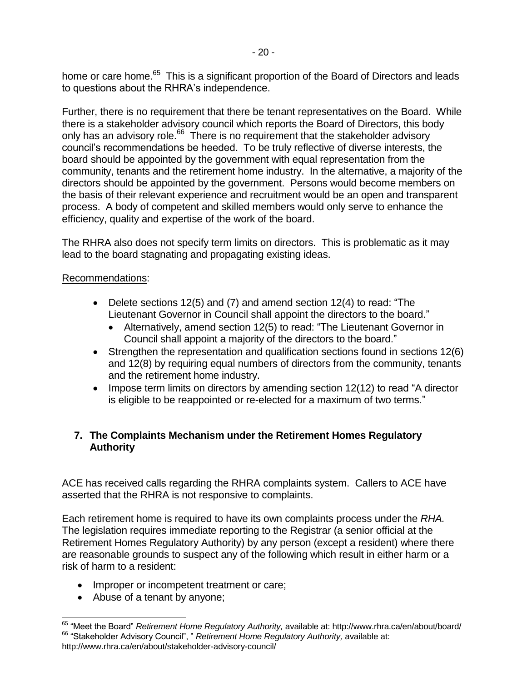home or care home.<sup>65</sup> This is a significant proportion of the Board of Directors and leads to questions about the RHRA's independence.

Further, there is no requirement that there be tenant representatives on the Board. While there is a stakeholder advisory council which reports the Board of Directors, this body only has an advisory role.<sup>66</sup> There is no requirement that the stakeholder advisory council's recommendations be heeded. To be truly reflective of diverse interests, the board should be appointed by the government with equal representation from the community, tenants and the retirement home industry. In the alternative, a majority of the directors should be appointed by the government. Persons would become members on the basis of their relevant experience and recruitment would be an open and transparent process. A body of competent and skilled members would only serve to enhance the efficiency, quality and expertise of the work of the board.

The RHRA also does not specify term limits on directors. This is problematic as it may lead to the board stagnating and propagating existing ideas.

### Recommendations:

- Delete sections 12(5) and (7) and amend section 12(4) to read: "The Lieutenant Governor in Council shall appoint the directors to the board."
	- Alternatively, amend section 12(5) to read: "The Lieutenant Governor in Council shall appoint a majority of the directors to the board."
- Strengthen the representation and qualification sections found in sections 12(6) and 12(8) by requiring equal numbers of directors from the community, tenants and the retirement home industry.
- Impose term limits on directors by amending section 12(12) to read "A director is eligible to be reappointed or re-elected for a maximum of two terms."

# **7. The Complaints Mechanism under the Retirement Homes Regulatory Authority**

ACE has received calls regarding the RHRA complaints system. Callers to ACE have asserted that the RHRA is not responsive to complaints.

Each retirement home is required to have its own complaints process under the *RHA.*  The legislation requires immediate reporting to the Registrar (a senior official at the Retirement Homes Regulatory Authority) by any person (except a resident) where there are reasonable grounds to suspect any of the following which result in either harm or a risk of harm to a resident:

- Improper or incompetent treatment or care;
- Abuse of a tenant by anyone;

 $\overline{a}$ <sup>65</sup> "Meet the Board" *Retirement Home Regulatory Authority,* available at: http://www.rhra.ca/en/about/board/ <sup>66</sup> "Stakeholder Advisory Council", " *Retirement Home Regulatory Authority,* available at: http://www.rhra.ca/en/about/stakeholder-advisory-council/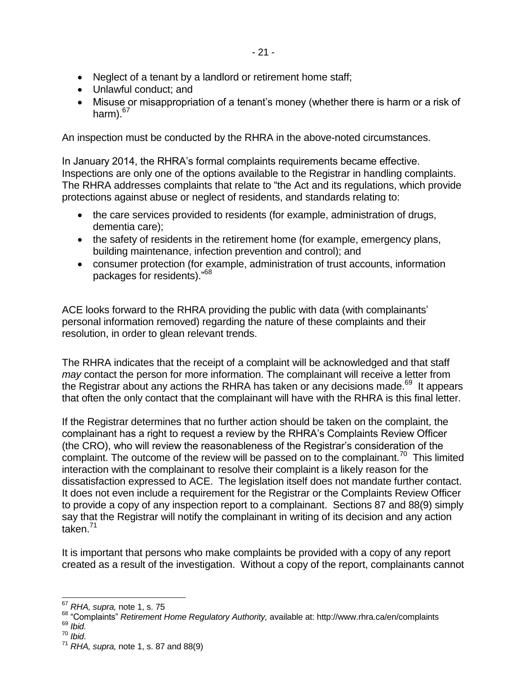- Neglect of a tenant by a landlord or retirement home staff;
- Unlawful conduct; and
- Misuse or misappropriation of a tenant's money (whether there is harm or a risk of harm). $67$

An inspection must be conducted by the RHRA in the above-noted circumstances.

In January 2014, the RHRA's formal complaints requirements became effective. Inspections are only one of the options available to the Registrar in handling complaints. The RHRA addresses complaints that relate to "the Act and its regulations, which provide protections against abuse or neglect of residents, and standards relating to:

- the care services provided to residents (for example, administration of drugs, dementia care);
- the safety of residents in the retirement home (for example, emergency plans, building maintenance, infection prevention and control); and
- consumer protection (for example, administration of trust accounts, information packages for residents)."<sup>68</sup>

ACE looks forward to the RHRA providing the public with data (with complainants' personal information removed) regarding the nature of these complaints and their resolution, in order to glean relevant trends.

The RHRA indicates that the receipt of a complaint will be acknowledged and that staff *may* contact the person for more information. The complainant will receive a letter from the Registrar about any actions the RHRA has taken or any decisions made.<sup>69</sup> It appears that often the only contact that the complainant will have with the RHRA is this final letter.

If the Registrar determines that no further action should be taken on the complaint, the complainant has a right to request a review by the RHRA's Complaints Review Officer (the CRO), who will review the reasonableness of the Registrar's consideration of the complaint. The outcome of the review will be passed on to the complainant.<sup>70</sup> This limited interaction with the complainant to resolve their complaint is a likely reason for the dissatisfaction expressed to ACE. The legislation itself does not mandate further contact. It does not even include a requirement for the Registrar or the Complaints Review Officer to provide a copy of any inspection report to a complainant. Sections 87 and 88(9) simply say that the Registrar will notify the complainant in writing of its decision and any action taken.<sup>71</sup>

It is important that persons who make complaints be provided with a copy of any report created as a result of the investigation. Without a copy of the report, complainants cannot

j <sup>67</sup> *RHA, supra,* note [1,](#page-0-0) s. 75

<sup>68</sup> "Complaints" *Retirement Home Regulatory Authority,* available at: http://www.rhra.ca/en/complaints

<sup>69</sup> *Ibid.* 

<sup>70</sup> *Ibid.* 

<sup>71</sup> *RHA, supra,* note [1,](#page-0-0) s. 87 and 88(9)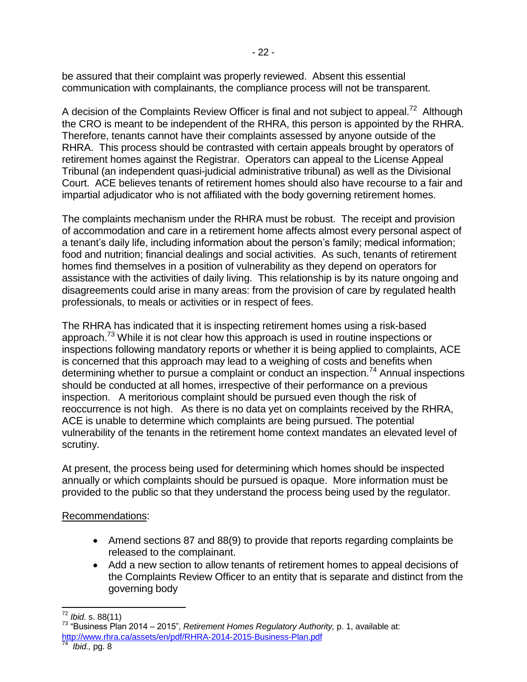be assured that their complaint was properly reviewed. Absent this essential communication with complainants, the compliance process will not be transparent.

A decision of the Complaints Review Officer is final and not subject to appeal.<sup>72</sup> Although the CRO is meant to be independent of the RHRA, this person is appointed by the RHRA. Therefore, tenants cannot have their complaints assessed by anyone outside of the RHRA. This process should be contrasted with certain appeals brought by operators of retirement homes against the Registrar. Operators can appeal to the License Appeal Tribunal (an independent quasi-judicial administrative tribunal) as well as the Divisional Court. ACE believes tenants of retirement homes should also have recourse to a fair and impartial adjudicator who is not affiliated with the body governing retirement homes.

The complaints mechanism under the RHRA must be robust. The receipt and provision of accommodation and care in a retirement home affects almost every personal aspect of a tenant's daily life, including information about the person's family; medical information; food and nutrition; financial dealings and social activities. As such, tenants of retirement homes find themselves in a position of vulnerability as they depend on operators for assistance with the activities of daily living. This relationship is by its nature ongoing and disagreements could arise in many areas: from the provision of care by regulated health professionals, to meals or activities or in respect of fees.

The RHRA has indicated that it is inspecting retirement homes using a risk-based approach.<sup>73</sup> While it is not clear how this approach is used in routine inspections or inspections following mandatory reports or whether it is being applied to complaints, ACE is concerned that this approach may lead to a weighing of costs and benefits when determining whether to pursue a complaint or conduct an inspection.<sup>74</sup> Annual inspections should be conducted at all homes, irrespective of their performance on a previous inspection. A meritorious complaint should be pursued even though the risk of reoccurrence is not high. As there is no data yet on complaints received by the RHRA, ACE is unable to determine which complaints are being pursued. The potential vulnerability of the tenants in the retirement home context mandates an elevated level of scrutiny.

At present, the process being used for determining which homes should be inspected annually or which complaints should be pursued is opaque. More information must be provided to the public so that they understand the process being used by the regulator.

### Recommendations:

- Amend sections 87 and 88(9) to provide that reports regarding complaints be released to the complainant.
- Add a new section to allow tenants of retirement homes to appeal decisions of the Complaints Review Officer to an entity that is separate and distinct from the governing body

 <sup>72</sup> *Ibid.* s. 88(11)

<sup>73</sup> "Business Plan 2014 – 2015", *Retirement Homes Regulatory Authority,* p. 1, available at: <http://www.rhra.ca/assets/en/pdf/RHRA-2014-2015-Business-Plan.pdf><br><sup>74</sup>. Ibid. pg. <sup>9</sup>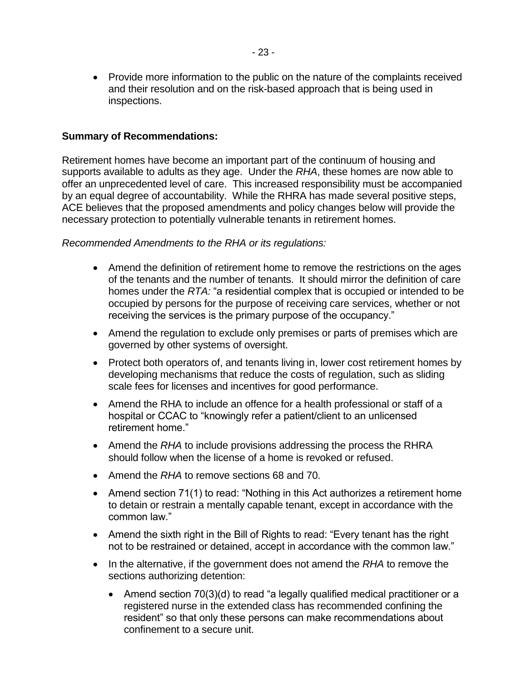• Provide more information to the public on the nature of the complaints received and their resolution and on the risk-based approach that is being used in inspections.

#### **Summary of Recommendations:**

Retirement homes have become an important part of the continuum of housing and supports available to adults as they age. Under the *RHA*, these homes are now able to offer an unprecedented level of care. This increased responsibility must be accompanied by an equal degree of accountability. While the RHRA has made several positive steps, ACE believes that the proposed amendments and policy changes below will provide the necessary protection to potentially vulnerable tenants in retirement homes.

#### *Recommended Amendments to the RHA or its regulations:*

- Amend the definition of retirement home to remove the restrictions on the ages of the tenants and the number of tenants. It should mirror the definition of care homes under the *RTA:* "a residential complex that is occupied or intended to be occupied by persons for the purpose of receiving care services, whether or not receiving the services is the primary purpose of the occupancy."
- Amend the regulation to exclude only premises or parts of premises which are governed by other systems of oversight.
- Protect both operators of, and tenants living in, lower cost retirement homes by developing mechanisms that reduce the costs of regulation, such as sliding scale fees for licenses and incentives for good performance.
- Amend the RHA to include an offence for a health professional or staff of a hospital or CCAC to "knowingly refer a patient/client to an unlicensed retirement home."
- Amend the *RHA* to include provisions addressing the process the RHRA should follow when the license of a home is revoked or refused.
- Amend the *RHA* to remove sections 68 and 70.
- Amend section 71(1) to read: "Nothing in this Act authorizes a retirement home to detain or restrain a mentally capable tenant, except in accordance with the common law."
- Amend the sixth right in the Bill of Rights to read: "Every tenant has the right not to be restrained or detained, accept in accordance with the common law."
- In the alternative, if the government does not amend the *RHA* to remove the sections authorizing detention:
	- Amend section 70(3)(d) to read "a legally qualified medical practitioner or a registered nurse in the extended class has recommended confining the resident" so that only these persons can make recommendations about confinement to a secure unit.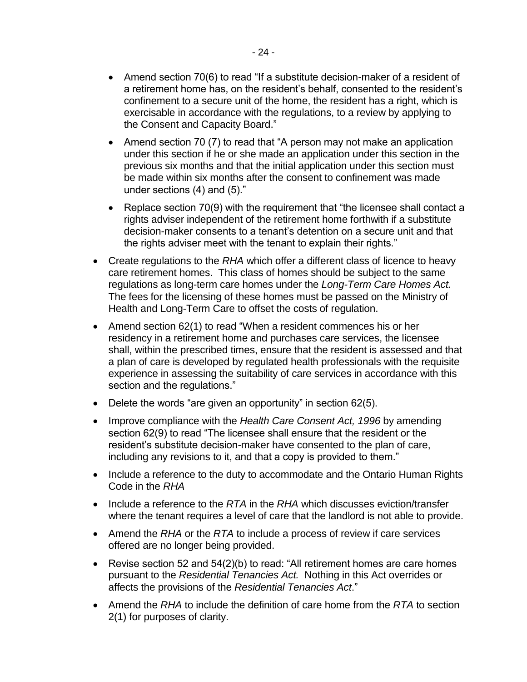- Amend section 70(6) to read "If a substitute decision-maker of a resident of a retirement home has, on the resident's behalf, consented to the resident's confinement to a secure unit of the home, the resident has a right, which is exercisable in accordance with the regulations, to a review by applying to the Consent and Capacity Board."
- Amend section 70 (7) to read that "A person may not make an application under this section if he or she made an application under this section in the previous six months and that the initial application under this section must be made within six months after the consent to confinement was made under sections (4) and (5)."
- Replace section 70(9) with the requirement that "the licensee shall contact a rights adviser independent of the retirement home forthwith if a substitute decision-maker consents to a tenant's detention on a secure unit and that the rights adviser meet with the tenant to explain their rights."
- Create regulations to the *RHA* which offer a different class of licence to heavy care retirement homes. This class of homes should be subject to the same regulations as long-term care homes under the *Long-Term Care Homes Act.*  The fees for the licensing of these homes must be passed on the Ministry of Health and Long-Term Care to offset the costs of regulation.
- Amend section 62(1) to read "When a resident commences his or her residency in a retirement home and purchases care services, the licensee shall, within the prescribed times, ensure that the resident is assessed and that a plan of care is developed by regulated health professionals with the requisite experience in assessing the suitability of care services in accordance with this section and the regulations."
- Delete the words "are given an opportunity" in section 62(5).
- Improve compliance with the *Health Care Consent Act, 1996* by amending section 62(9) to read "The licensee shall ensure that the resident or the resident's substitute decision-maker have consented to the plan of care, including any revisions to it, and that a copy is provided to them."
- Include a reference to the duty to accommodate and the Ontario Human Rights Code in the *RHA*
- Include a reference to the *RTA* in the *RHA* which discusses eviction/transfer where the tenant requires a level of care that the landlord is not able to provide.
- Amend the *RHA* or the *RTA* to include a process of review if care services offered are no longer being provided.
- Revise section 52 and 54(2)(b) to read: "All retirement homes are care homes pursuant to the *Residential Tenancies Act.* Nothing in this Act overrides or affects the provisions of the *Residential Tenancies Act*."
- Amend the *RHA* to include the definition of care home from the *RTA* to section 2(1) for purposes of clarity.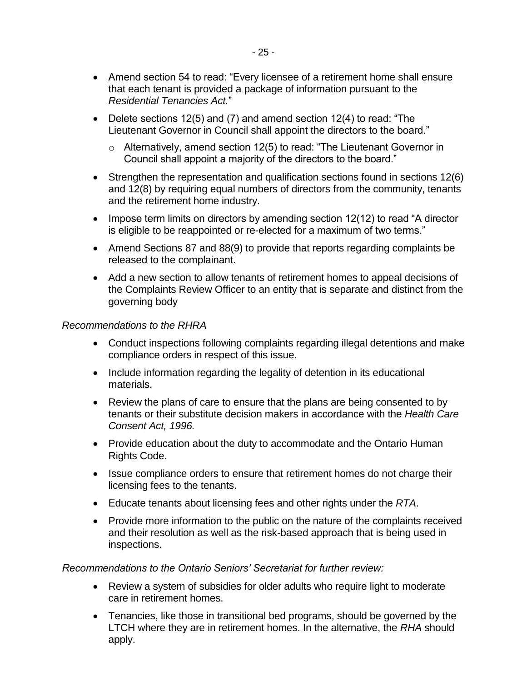- Amend section 54 to read: "Every licensee of a retirement home shall ensure that each tenant is provided a package of information pursuant to the *Residential Tenancies Act.*"
- Delete sections 12(5) and (7) and amend section 12(4) to read: "The Lieutenant Governor in Council shall appoint the directors to the board."
	- o Alternatively, amend section 12(5) to read: "The Lieutenant Governor in Council shall appoint a majority of the directors to the board."
- Strengthen the representation and qualification sections found in sections 12(6) and 12(8) by requiring equal numbers of directors from the community, tenants and the retirement home industry.
- $\bullet$  Impose term limits on directors by amending section 12(12) to read "A director is eligible to be reappointed or re-elected for a maximum of two terms."
- Amend Sections 87 and 88(9) to provide that reports regarding complaints be released to the complainant.
- Add a new section to allow tenants of retirement homes to appeal decisions of the Complaints Review Officer to an entity that is separate and distinct from the governing body

#### *Recommendations to the RHRA*

- Conduct inspections following complaints regarding illegal detentions and make compliance orders in respect of this issue.
- Include information regarding the legality of detention in its educational materials.
- Review the plans of care to ensure that the plans are being consented to by tenants or their substitute decision makers in accordance with the *Health Care Consent Act, 1996.*
- Provide education about the duty to accommodate and the Ontario Human Rights Code.
- Issue compliance orders to ensure that retirement homes do not charge their licensing fees to the tenants.
- Educate tenants about licensing fees and other rights under the *RTA*.
- Provide more information to the public on the nature of the complaints received and their resolution as well as the risk-based approach that is being used in inspections.

*Recommendations to the Ontario Seniors' Secretariat for further review:* 

- Review a system of subsidies for older adults who require light to moderate care in retirement homes.
- Tenancies, like those in transitional bed programs, should be governed by the LTCH where they are in retirement homes. In the alternative, the *RHA* should apply.